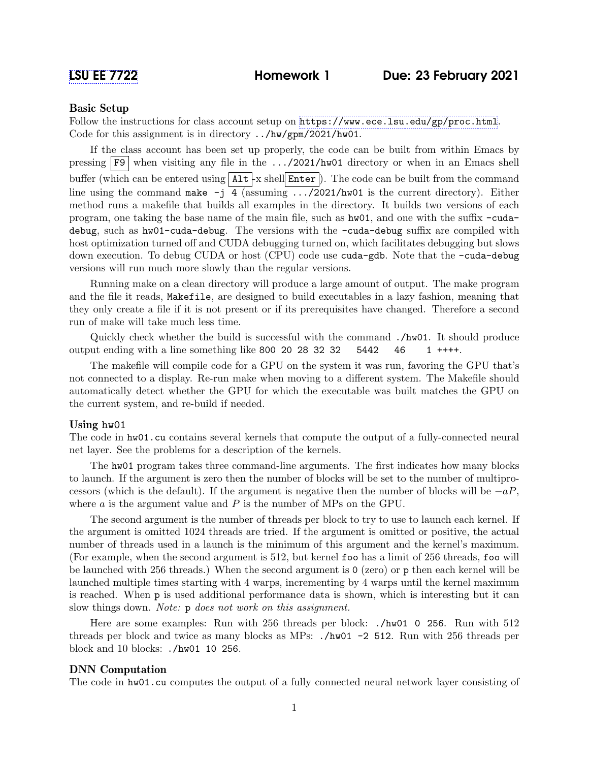## Basic Setup

Follow the instructions for class account setup on <https://www.ece.lsu.edu/gp/proc.html>. Code for this assignment is in directory ../hw/gpm/2021/hw01.

If the class account has been set up properly, the code can be built from within Emacs by pressing  $\overline{F9}$  when visiting any file in the .../2021/hw01 directory or when in an Emacs shell buffer (which can be entered using  $\text{Alt} \mid x \text{ shell}$  Enter ). The code can be built from the command line using the command make  $-j$  4 (assuming .../2021/hw01 is the current directory). Either method runs a makefile that builds all examples in the directory. It builds two versions of each program, one taking the base name of the main file, such as hw01, and one with the suffix -cudadebug, such as hw01-cuda-debug. The versions with the -cuda-debug suffix are compiled with host optimization turned off and CUDA debugging turned on, which facilitates debugging but slows down execution. To debug CUDA or host (CPU) code use cuda-gdb. Note that the -cuda-debug versions will run much more slowly than the regular versions.

Running make on a clean directory will produce a large amount of output. The make program and the file it reads, Makefile, are designed to build executables in a lazy fashion, meaning that they only create a file if it is not present or if its prerequisites have changed. Therefore a second run of make will take much less time.

Quickly check whether the build is successful with the command ./hw01. It should produce output ending with a line something like 800 20 28 32 32  $5442 \quad 46 \quad 1$  ++++.

The makefile will compile code for a GPU on the system it was run, favoring the GPU that's not connected to a display. Re-run make when moving to a different system. The Makefile should automatically detect whether the GPU for which the executable was built matches the GPU on the current system, and re-build if needed.

## Using hw01

The code in  $hw01$  cu contains several kernels that compute the output of a fully-connected neural net layer. See the problems for a description of the kernels.

The hw01 program takes three command-line arguments. The first indicates how many blocks to launch. If the argument is zero then the number of blocks will be set to the number of multiprocessors (which is the default). If the argument is negative then the number of blocks will be  $-aP$ , where  $a$  is the argument value and  $P$  is the number of MPs on the GPU.

The second argument is the number of threads per block to try to use to launch each kernel. If the argument is omitted 1024 threads are tried. If the argument is omitted or positive, the actual number of threads used in a launch is the minimum of this argument and the kernel's maximum. (For example, when the second argument is 512, but kernel foo has a limit of 256 threads, foo will be launched with 256 threads.) When the second argument is 0 (zero) or p then each kernel will be launched multiple times starting with 4 warps, incrementing by 4 warps until the kernel maximum is reached. When p is used additional performance data is shown, which is interesting but it can slow things down. Note: p does not work on this assignment.

Here are some examples: Run with 256 threads per block: ./hw01 0 256. Run with 512 threads per block and twice as many blocks as MPs: ./hw01 -2 512. Run with 256 threads per block and 10 blocks: ./hw01 10 256.

## DNN Computation

The code in hw01.cu computes the output of a fully connected neural network layer consisting of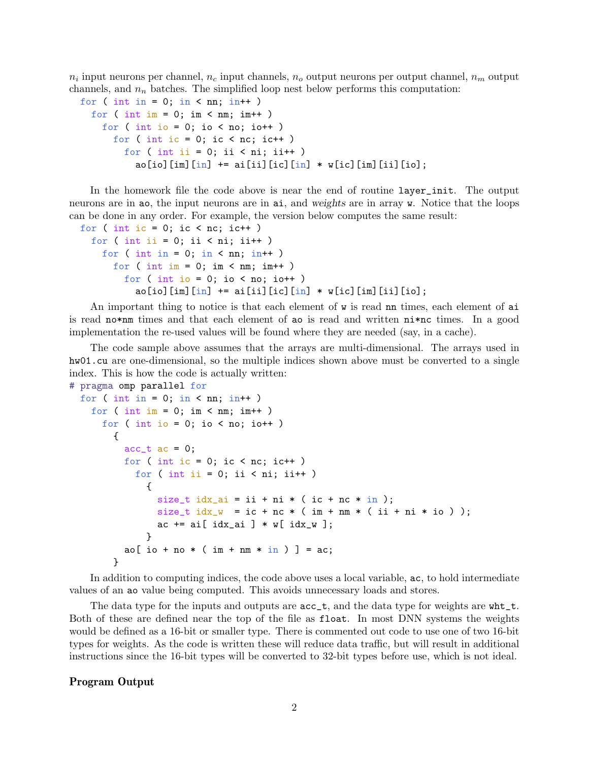$n_i$  input neurons per channel,  $n_c$  input channels,  $n_o$  output neurons per output channel,  $n_m$  output channels, and  $n_n$  batches. The simplified loop nest below performs this computation:

```
for ( int in = 0; in < nn; in++ )
  for ( int im = 0; im < nm; im++ )
    for ( int io = 0; io < no; io++ )
      for ( int ic = 0; ic < nc; ic ++ )
        for ( int ii = 0; ii < ni; ii++ )
          ao[io][im][in] += ai[ii][ic][in] * w[ic][im][ii][io];
```
In the homework file the code above is near the end of routine layer\_init. The output neurons are in ao, the input neurons are in ai, and weights are in array w. Notice that the loops can be done in any order. For example, the version below computes the same result:

```
for ( int ic = 0; ic < nc; ic ++ )
  for ( int ii = 0; ii < ni; ii++ )
    for ( int in = 0; in < nn; in++ )
      for ( int im = 0; im < nm; im++ )
        for ( int io = 0; io < no; io ++ )
          ao[io][im][in] += ai[ii][ic][in] * w[ic][im][ii][io];
```
An important thing to notice is that each element of  $\bf{w}$  is read nn times, each element of ai is read no\*nm times and that each element of ao is read and written ni\*nc times. In a good implementation the re-used values will be found where they are needed (say, in a cache).

The code sample above assumes that the arrays are multi-dimensional. The arrays used in hw01.cu are one-dimensional, so the multiple indices shown above must be converted to a single index. This is how the code is actually written:

```
# pragma omp parallel for
  for ( int in = 0; in < nn; in++ )
   for ( int im = 0; im < nm; im++ )
      for ( int io = 0; io < no; io ++ )
        {
         acc_t ac = 0;
         for ( int ic = 0; ic < nc; ic ++ )
            for ( int ii = 0; ii < ni; ii++ )
             {
                size_t idx_ai = ii + ni * (ic + nc * in);
                size_t idx_w = ic + nc * (im + nm * (ii + ni * io));
                ac += ai[idx_ai] * w[idx_w];}
         ao[ io + no * ( im + nm * in ) ] = ac;
        }
```
In addition to computing indices, the code above uses a local variable, ac, to hold intermediate values of an ao value being computed. This avoids unnecessary loads and stores.

The data type for the inputs and outputs are  $acc_t$ , and the data type for weights are wht<sub>t</sub>. Both of these are defined near the top of the file as float. In most DNN systems the weights would be defined as a 16-bit or smaller type. There is commented out code to use one of two 16-bit types for weights. As the code is written these will reduce data traffic, but will result in additional instructions since the 16-bit types will be converted to 32-bit types before use, which is not ideal.

## Program Output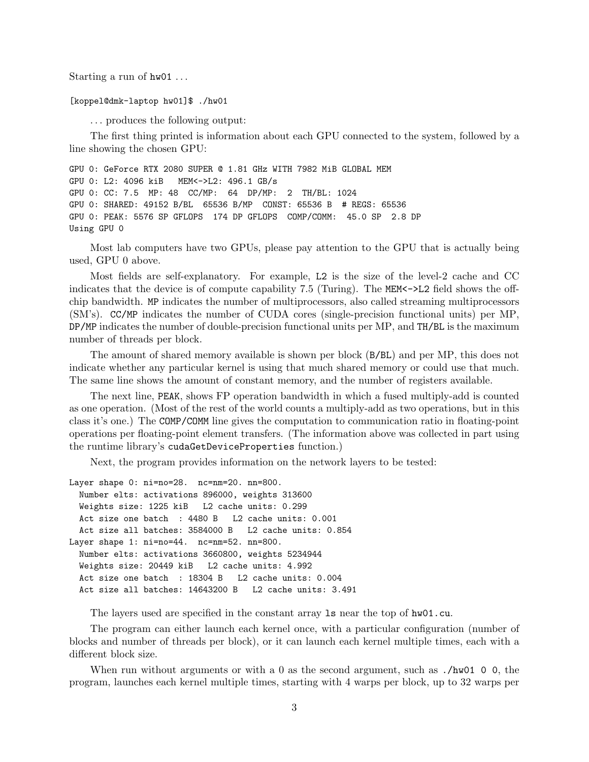Starting a run of  $hw01...$ 

[koppel@dmk-laptop hw01]\$ ./hw01

. . . produces the following output:

The first thing printed is information about each GPU connected to the system, followed by a line showing the chosen GPU:

GPU 0: GeForce RTX 2080 SUPER @ 1.81 GHz WITH 7982 MiB GLOBAL MEM GPU 0: L2: 4096 kiB MEM<->L2: 496.1 GB/s GPU 0: CC: 7.5 MP: 48 CC/MP: 64 DP/MP: 2 TH/BL: 1024 GPU 0: SHARED: 49152 B/BL 65536 B/MP CONST: 65536 B # REGS: 65536 GPU 0: PEAK: 5576 SP GFLOPS 174 DP GFLOPS COMP/COMM: 45.0 SP 2.8 DP Using GPU 0

Most lab computers have two GPUs, please pay attention to the GPU that is actually being used, GPU 0 above.

Most fields are self-explanatory. For example, L2 is the size of the level-2 cache and CC indicates that the device is of compute capability 7.5 (Turing). The MEM<->L2 field shows the offchip bandwidth. MP indicates the number of multiprocessors, also called streaming multiprocessors (SM's). CC/MP indicates the number of CUDA cores (single-precision functional units) per MP, DP/MP indicates the number of double-precision functional units per MP, and TH/BL is the maximum number of threads per block.

The amount of shared memory available is shown per block (B/BL) and per MP, this does not indicate whether any particular kernel is using that much shared memory or could use that much. The same line shows the amount of constant memory, and the number of registers available.

The next line, PEAK, shows FP operation bandwidth in which a fused multiply-add is counted as one operation. (Most of the rest of the world counts a multiply-add as two operations, but in this class it's one.) The COMP/COMM line gives the computation to communication ratio in floating-point operations per floating-point element transfers. (The information above was collected in part using the runtime library's cudaGetDeviceProperties function.)

Next, the program provides information on the network layers to be tested:

```
Layer shape 0: ni=no=28. nc=nm=20. nn=800.
  Number elts: activations 896000, weights 313600
  Weights size: 1225 kiB L2 cache units: 0.299
  Act size one batch : 4480 B L2 cache units: 0.001
  Act size all batches: 3584000 B L2 cache units: 0.854
Layer shape 1: ni=no=44. nc=nm=52. nn=800.
  Number elts: activations 3660800, weights 5234944
  Weights size: 20449 kiB L2 cache units: 4.992
  Act size one batch : 18304 B L2 cache units: 0.004
  Act size all batches: 14643200 B L2 cache units: 3.491
```
The layers used are specified in the constant array ls near the top of hw01.cu.

The program can either launch each kernel once, with a particular configuration (number of blocks and number of threads per block), or it can launch each kernel multiple times, each with a different block size.

When run without arguments or with a 0 as the second argument, such as ./hw01 0 0, the program, launches each kernel multiple times, starting with 4 warps per block, up to 32 warps per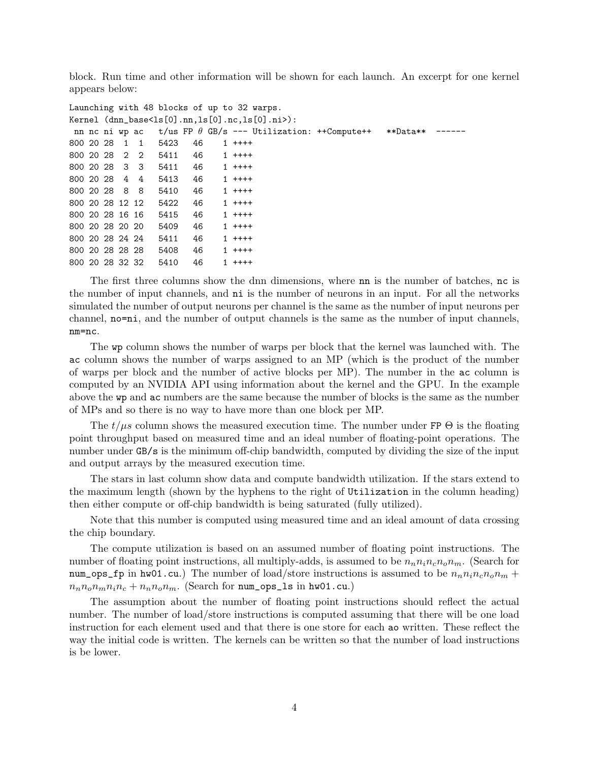block. Run time and other information will be shown for each launch. An excerpt for one kernel appears below:

```
Launching with 48 blocks of up to 32 warps.
Kernel (dnn_base<ls[0].nn,ls[0].nc,ls[0].ni>):
nn nc ni wp ac t/us FP \theta GB/s --- Utilization: ++Compute++ **Data** -----
800 20 28 1 1 5423 46 1 ++++
800 20 28 2 2 5411 46 1 ++++
800 20 28 3 3 5411 46 1 ++++
800 20 28 4 4 5413 46 1 ++++
800 20 28 8 8 5410 46 1 ++++
800 20 28 12 12 5422 46 1 ++++
800 20 28 16 16 5415 46 1 ++++
800 20 28 20 20 5409 46 1 ++++
800 20 28 24 24 5411 46 1 ++++
800 20 28 28 28 5408 46 1 ++++
800 20 28 32 32 5410 46 1 ++++
```
The first three columns show the dnn dimensions, where nn is the number of batches, nc is the number of input channels, and ni is the number of neurons in an input. For all the networks simulated the number of output neurons per channel is the same as the number of input neurons per channel, no=ni, and the number of output channels is the same as the number of input channels, nm=nc.

The wp column shows the number of warps per block that the kernel was launched with. The ac column shows the number of warps assigned to an MP (which is the product of the number of warps per block and the number of active blocks per MP). The number in the ac column is computed by an NVIDIA API using information about the kernel and the GPU. In the example above the wp and ac numbers are the same because the number of blocks is the same as the number of MPs and so there is no way to have more than one block per MP.

The  $t/\mu s$  column shows the measured execution time. The number under FP  $\Theta$  is the floating point throughput based on measured time and an ideal number of floating-point operations. The number under GB/s is the minimum off-chip bandwidth, computed by dividing the size of the input and output arrays by the measured execution time.

The stars in last column show data and compute bandwidth utilization. If the stars extend to the maximum length (shown by the hyphens to the right of Utilization in the column heading) then either compute or off-chip bandwidth is being saturated (fully utilized).

Note that this number is computed using measured time and an ideal amount of data crossing the chip boundary.

The compute utilization is based on an assumed number of floating point instructions. The number of floating point instructions, all multiply-adds, is assumed to be  $n_n n_i n_c n_o n_m$ . (Search for num\_ops\_fp in hw01.cu.) The number of load/store instructions is assumed to be  $n_n n_i n_c n_o n_m +$  $n_n n_o n_m n_i n_c + n_n n_o n_m$ . (Search for num\_ops\_1s in hw01.cu.)

The assumption about the number of floating point instructions should reflect the actual number. The number of load/store instructions is computed assuming that there will be one load instruction for each element used and that there is one store for each ao written. These reflect the way the initial code is written. The kernels can be written so that the number of load instructions is be lower.